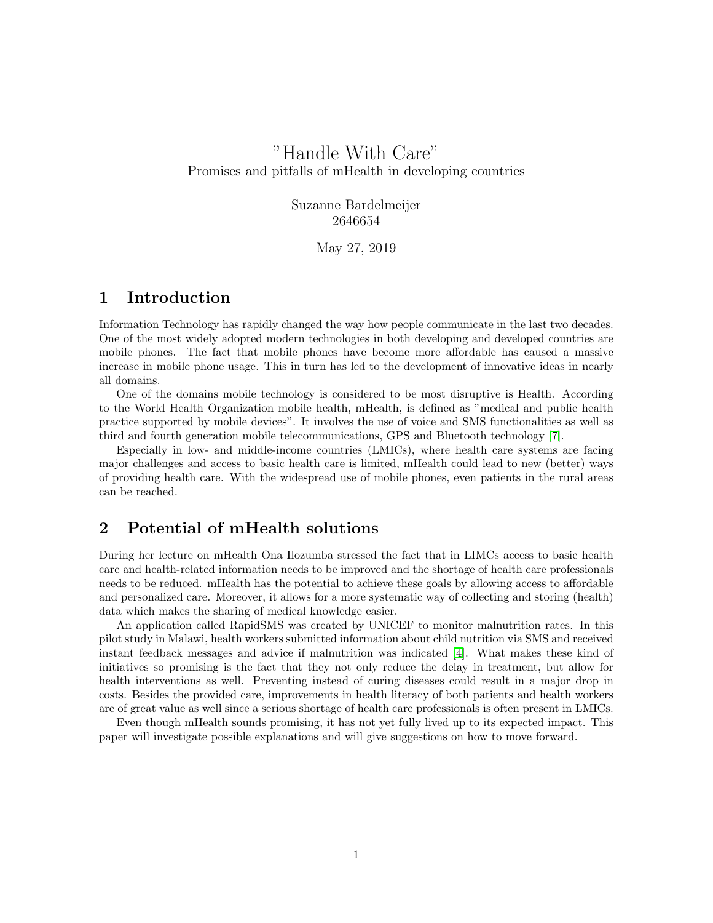# "Handle With Care" Promises and pitfalls of mHealth in developing countries

Suzanne Bardelmeijer 2646654

May 27, 2019

#### 1 Introduction

Information Technology has rapidly changed the way how people communicate in the last two decades. One of the most widely adopted modern technologies in both developing and developed countries are mobile phones. The fact that mobile phones have become more affordable has caused a massive increase in mobile phone usage. This in turn has led to the development of innovative ideas in nearly all domains.

One of the domains mobile technology is considered to be most disruptive is Health. According to the World Health Organization mobile health, mHealth, is defined as "medical and public health practice supported by mobile devices". It involves the use of voice and SMS functionalities as well as third and fourth generation mobile telecommunications, GPS and Bluetooth technology [\[7\]](#page-2-0).

Especially in low- and middle-income countries (LMICs), where health care systems are facing major challenges and access to basic health care is limited, mHealth could lead to new (better) ways of providing health care. With the widespread use of mobile phones, even patients in the rural areas can be reached.

## 2 Potential of mHealth solutions

During her lecture on mHealth Ona Ilozumba stressed the fact that in LIMCs access to basic health care and health-related information needs to be improved and the shortage of health care professionals needs to be reduced. mHealth has the potential to achieve these goals by allowing access to affordable and personalized care. Moreover, it allows for a more systematic way of collecting and storing (health) data which makes the sharing of medical knowledge easier.

An application called RapidSMS was created by UNICEF to monitor malnutrition rates. In this pilot study in Malawi, health workers submitted information about child nutrition via SMS and received instant feedback messages and advice if malnutrition was indicated [\[4\]](#page-2-1). What makes these kind of initiatives so promising is the fact that they not only reduce the delay in treatment, but allow for health interventions as well. Preventing instead of curing diseases could result in a major drop in costs. Besides the provided care, improvements in health literacy of both patients and health workers are of great value as well since a serious shortage of health care professionals is often present in LMICs.

Even though mHealth sounds promising, it has not yet fully lived up to its expected impact. This paper will investigate possible explanations and will give suggestions on how to move forward.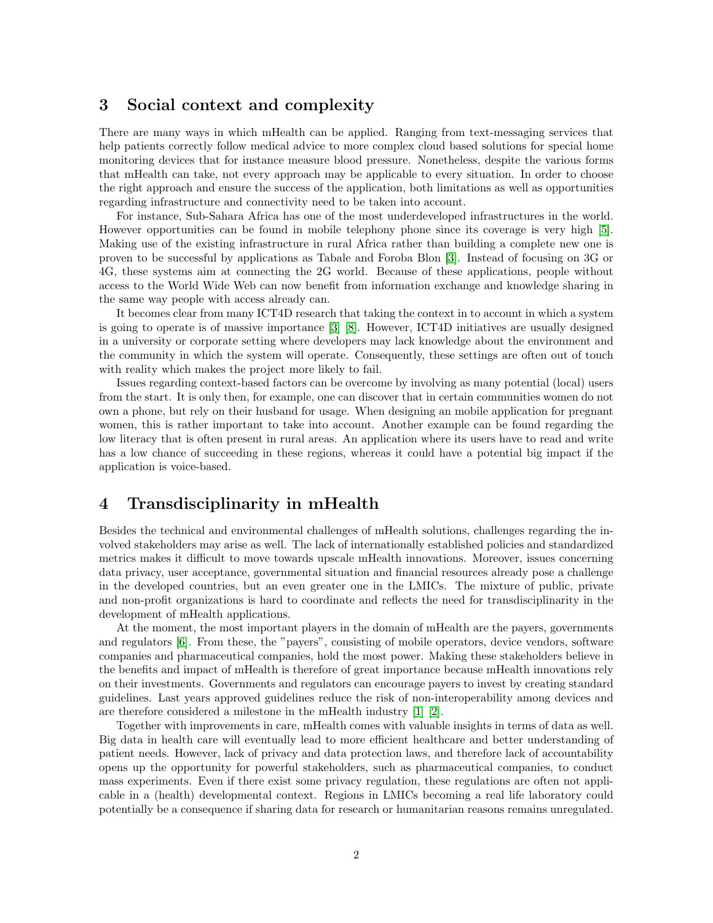#### 3 Social context and complexity

There are many ways in which mHealth can be applied. Ranging from text-messaging services that help patients correctly follow medical advice to more complex cloud based solutions for special home monitoring devices that for instance measure blood pressure. Nonetheless, despite the various forms that mHealth can take, not every approach may be applicable to every situation. In order to choose the right approach and ensure the success of the application, both limitations as well as opportunities regarding infrastructure and connectivity need to be taken into account.

For instance, Sub-Sahara Africa has one of the most underdeveloped infrastructures in the world. However opportunities can be found in mobile telephony phone since its coverage is very high [\[5\]](#page-2-2). Making use of the existing infrastructure in rural Africa rather than building a complete new one is proven to be successful by applications as Tabale and Foroba Blon [\[3\]](#page-2-3). Instead of focusing on 3G or 4G, these systems aim at connecting the 2G world. Because of these applications, people without access to the World Wide Web can now benefit from information exchange and knowledge sharing in the same way people with access already can.

It becomes clear from many ICT4D research that taking the context in to account in which a system is going to operate is of massive importance [\[3\]](#page-2-3) [\[8\]](#page-2-4). However, ICT4D initiatives are usually designed in a university or corporate setting where developers may lack knowledge about the environment and the community in which the system will operate. Consequently, these settings are often out of touch with reality which makes the project more likely to fail.

Issues regarding context-based factors can be overcome by involving as many potential (local) users from the start. It is only then, for example, one can discover that in certain communities women do not own a phone, but rely on their husband for usage. When designing an mobile application for pregnant women, this is rather important to take into account. Another example can be found regarding the low literacy that is often present in rural areas. An application where its users have to read and write has a low chance of succeeding in these regions, whereas it could have a potential big impact if the application is voice-based.

#### 4 Transdisciplinarity in mHealth

Besides the technical and environmental challenges of mHealth solutions, challenges regarding the involved stakeholders may arise as well. The lack of internationally established policies and standardized metrics makes it difficult to move towards upscale mHealth innovations. Moreover, issues concerning data privacy, user acceptance, governmental situation and financial resources already pose a challenge in the developed countries, but an even greater one in the LMICs. The mixture of public, private and non-profit organizations is hard to coordinate and reflects the need for transdisciplinarity in the development of mHealth applications.

At the moment, the most important players in the domain of mHealth are the payers, governments and regulators [\[6\]](#page-2-5). From these, the "payers", consisting of mobile operators, device vendors, software companies and pharmaceutical companies, hold the most power. Making these stakeholders believe in the benefits and impact of mHealth is therefore of great importance because mHealth innovations rely on their investments. Governments and regulators can encourage payers to invest by creating standard guidelines. Last years approved guidelines reduce the risk of non-interoperability among devices and are therefore considered a milestone in the mHealth industry [\[1\]](#page-2-6) [\[2\]](#page-2-7).

Together with improvements in care, mHealth comes with valuable insights in terms of data as well. Big data in health care will eventually lead to more efficient healthcare and better understanding of patient needs. However, lack of privacy and data protection laws, and therefore lack of accountability opens up the opportunity for powerful stakeholders, such as pharmaceutical companies, to conduct mass experiments. Even if there exist some privacy regulation, these regulations are often not applicable in a (health) developmental context. Regions in LMICs becoming a real life laboratory could potentially be a consequence if sharing data for research or humanitarian reasons remains unregulated.